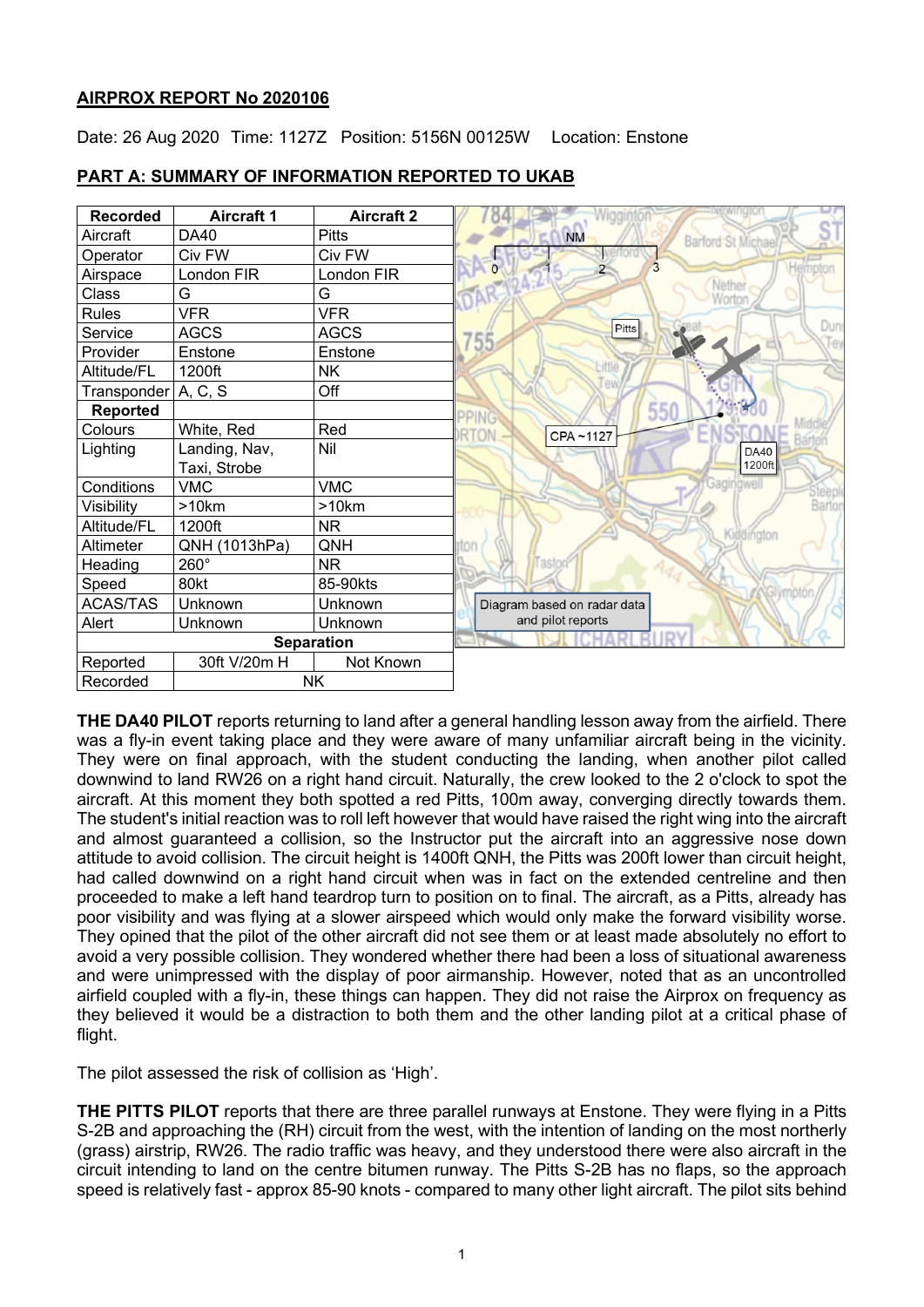### **AIRPROX REPORT No 2020106**

Date: 26 Aug 2020 Time: 1127Z Position: 5156N 00125W Location: Enstone



### **PART A: SUMMARY OF INFORMATION REPORTED TO UKAB**

**THE DA40 PILOT** reports returning to land after a general handling lesson away from the airfield. There was a fly-in event taking place and they were aware of many unfamiliar aircraft being in the vicinity. They were on final approach, with the student conducting the landing, when another pilot called downwind to land RW26 on a right hand circuit. Naturally, the crew looked to the 2 o'clock to spot the aircraft. At this moment they both spotted a red Pitts, 100m away, converging directly towards them. The student's initial reaction was to roll left however that would have raised the right wing into the aircraft and almost guaranteed a collision, so the Instructor put the aircraft into an aggressive nose down attitude to avoid collision. The circuit height is 1400ft QNH, the Pitts was 200ft lower than circuit height, had called downwind on a right hand circuit when was in fact on the extended centreline and then proceeded to make a left hand teardrop turn to position on to final. The aircraft, as a Pitts, already has poor visibility and was flying at a slower airspeed which would only make the forward visibility worse. They opined that the pilot of the other aircraft did not see them or at least made absolutely no effort to avoid a very possible collision. They wondered whether there had been a loss of situational awareness and were unimpressed with the display of poor airmanship. However, noted that as an uncontrolled airfield coupled with a fly-in, these things can happen. They did not raise the Airprox on frequency as they believed it would be a distraction to both them and the other landing pilot at a critical phase of flight.

The pilot assessed the risk of collision as 'High'.

**THE PITTS PILOT** reports that there are three parallel runways at Enstone. They were flying in a Pitts S-2B and approaching the (RH) circuit from the west, with the intention of landing on the most northerly (grass) airstrip, RW26. The radio traffic was heavy, and they understood there were also aircraft in the circuit intending to land on the centre bitumen runway. The Pitts S-2B has no flaps, so the approach speed is relatively fast - approx 85-90 knots - compared to many other light aircraft. The pilot sits behind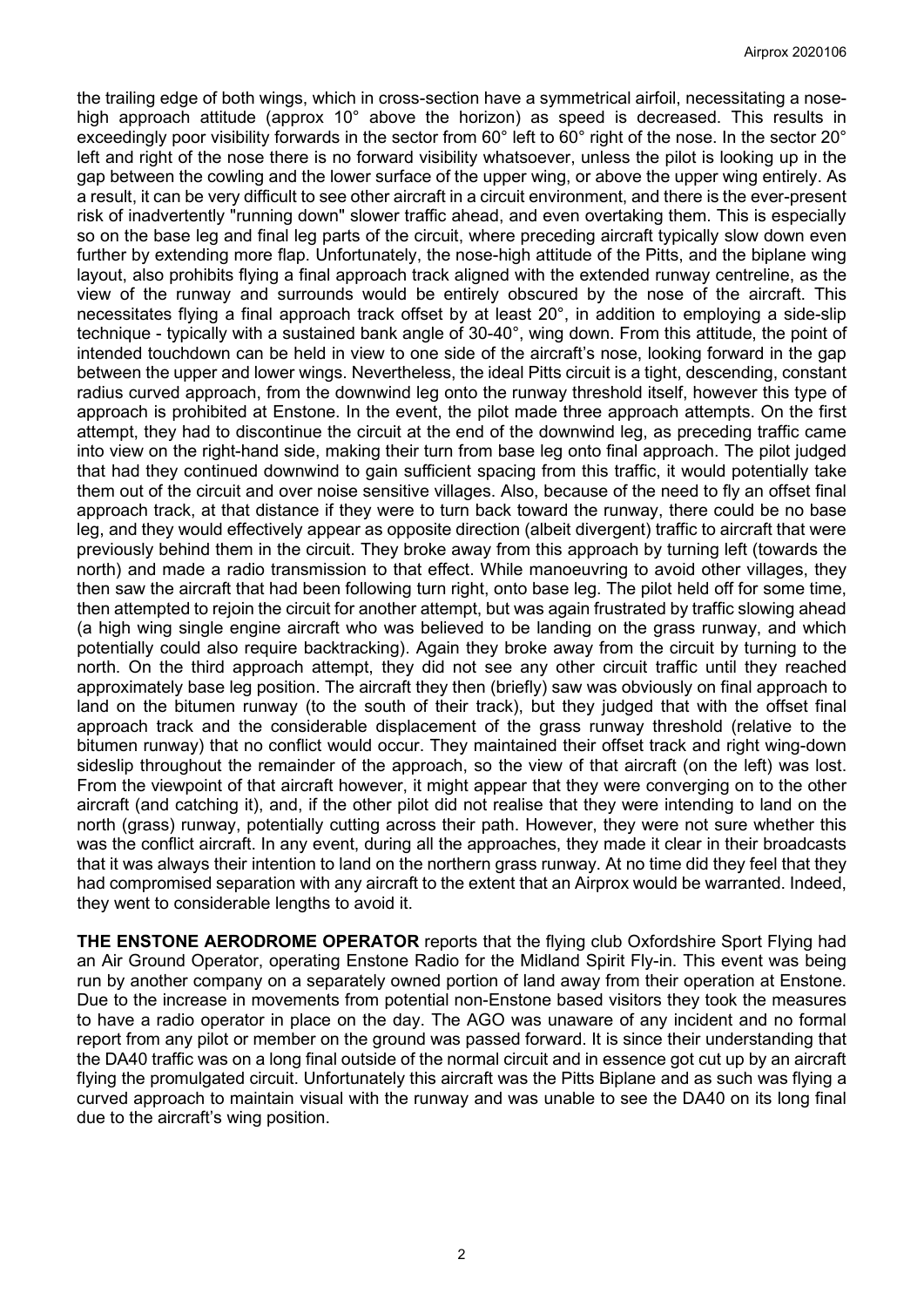the trailing edge of both wings, which in cross-section have a symmetrical airfoil, necessitating a nosehigh approach attitude (approx 10° above the horizon) as speed is decreased. This results in exceedingly poor visibility forwards in the sector from 60° left to 60° right of the nose. In the sector 20° left and right of the nose there is no forward visibility whatsoever, unless the pilot is looking up in the gap between the cowling and the lower surface of the upper wing, or above the upper wing entirely. As a result, it can be very difficult to see other aircraft in a circuit environment, and there is the ever-present risk of inadvertently "running down" slower traffic ahead, and even overtaking them. This is especially so on the base leg and final leg parts of the circuit, where preceding aircraft typically slow down even further by extending more flap. Unfortunately, the nose-high attitude of the Pitts, and the biplane wing layout, also prohibits flying a final approach track aligned with the extended runway centreline, as the view of the runway and surrounds would be entirely obscured by the nose of the aircraft. This necessitates flying a final approach track offset by at least 20°, in addition to employing a side-slip technique - typically with a sustained bank angle of 30-40°, wing down. From this attitude, the point of intended touchdown can be held in view to one side of the aircraft's nose, looking forward in the gap between the upper and lower wings. Nevertheless, the ideal Pitts circuit is a tight, descending, constant radius curved approach, from the downwind leg onto the runway threshold itself, however this type of approach is prohibited at Enstone. In the event, the pilot made three approach attempts. On the first attempt, they had to discontinue the circuit at the end of the downwind leg, as preceding traffic came into view on the right-hand side, making their turn from base leg onto final approach. The pilot judged that had they continued downwind to gain sufficient spacing from this traffic, it would potentially take them out of the circuit and over noise sensitive villages. Also, because of the need to fly an offset final approach track, at that distance if they were to turn back toward the runway, there could be no base leg, and they would effectively appear as opposite direction (albeit divergent) traffic to aircraft that were previously behind them in the circuit. They broke away from this approach by turning left (towards the north) and made a radio transmission to that effect. While manoeuvring to avoid other villages, they then saw the aircraft that had been following turn right, onto base leg. The pilot held off for some time, then attempted to rejoin the circuit for another attempt, but was again frustrated by traffic slowing ahead (a high wing single engine aircraft who was believed to be landing on the grass runway, and which potentially could also require backtracking). Again they broke away from the circuit by turning to the north. On the third approach attempt, they did not see any other circuit traffic until they reached approximately base leg position. The aircraft they then (briefly) saw was obviously on final approach to land on the bitumen runway (to the south of their track), but they judged that with the offset final approach track and the considerable displacement of the grass runway threshold (relative to the bitumen runway) that no conflict would occur. They maintained their offset track and right wing-down sideslip throughout the remainder of the approach, so the view of that aircraft (on the left) was lost. From the viewpoint of that aircraft however, it might appear that they were converging on to the other aircraft (and catching it), and, if the other pilot did not realise that they were intending to land on the north (grass) runway, potentially cutting across their path. However, they were not sure whether this was the conflict aircraft. In any event, during all the approaches, they made it clear in their broadcasts that it was always their intention to land on the northern grass runway. At no time did they feel that they had compromised separation with any aircraft to the extent that an Airprox would be warranted. Indeed, they went to considerable lengths to avoid it.

**THE ENSTONE AERODROME OPERATOR** reports that the flying club Oxfordshire Sport Flying had an Air Ground Operator, operating Enstone Radio for the Midland Spirit Fly-in. This event was being run by another company on a separately owned portion of land away from their operation at Enstone. Due to the increase in movements from potential non-Enstone based visitors they took the measures to have a radio operator in place on the day. The AGO was unaware of any incident and no formal report from any pilot or member on the ground was passed forward. It is since their understanding that the DA40 traffic was on a long final outside of the normal circuit and in essence got cut up by an aircraft flying the promulgated circuit. Unfortunately this aircraft was the Pitts Biplane and as such was flying a curved approach to maintain visual with the runway and was unable to see the DA40 on its long final due to the aircraft's wing position.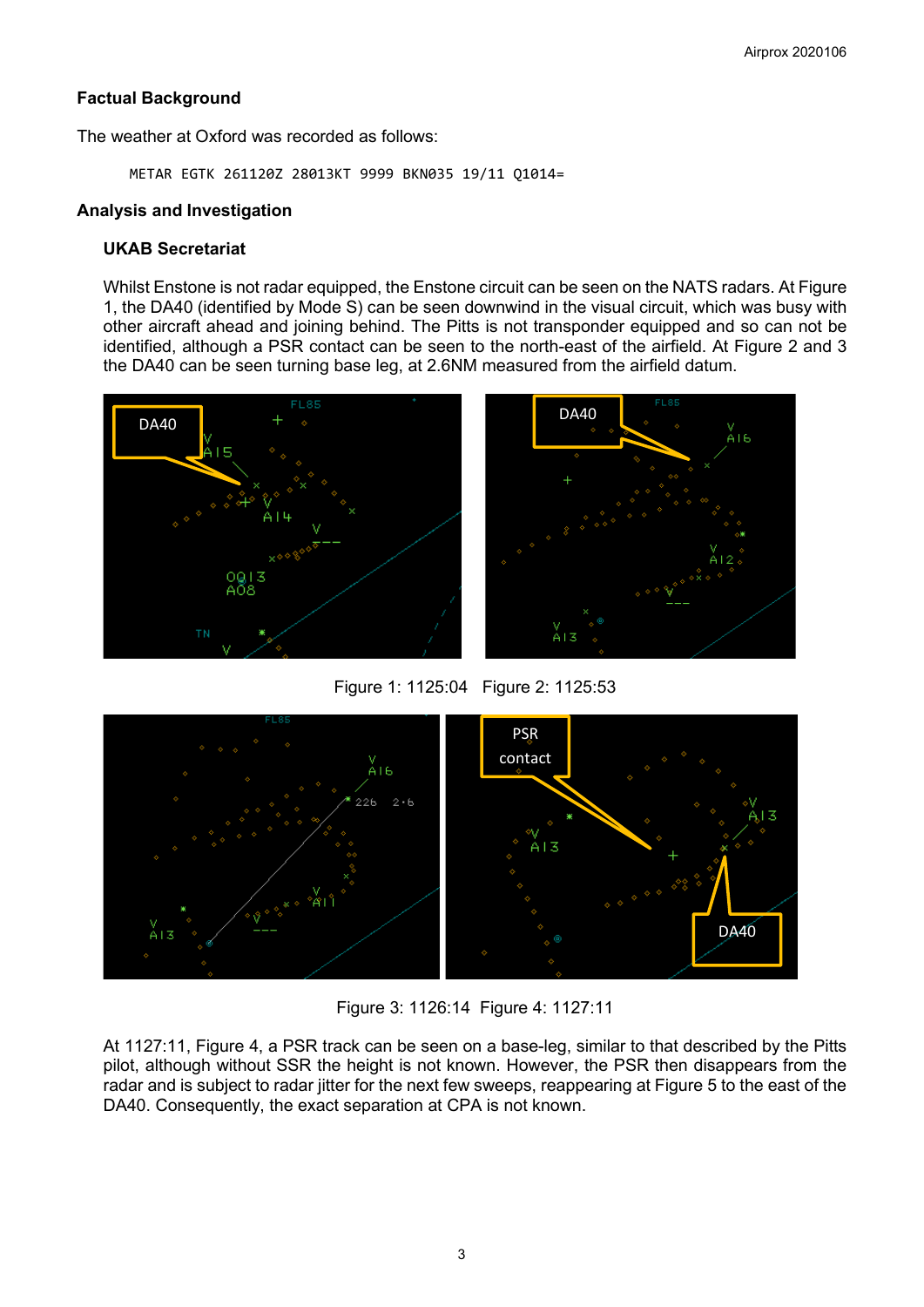### **Factual Background**

The weather at Oxford was recorded as follows:

METAR EGTK 261120Z 28013KT 9999 BKN035 19/11 Q1014=

# **Analysis and Investigation**

# **UKAB Secretariat**

Whilst Enstone is not radar equipped, the Enstone circuit can be seen on the NATS radars. At Figure 1, the DA40 (identified by Mode S) can be seen downwind in the visual circuit, which was busy with other aircraft ahead and joining behind. The Pitts is not transponder equipped and so can not be identified, although a PSR contact can be seen to the north-east of the airfield. At Figure 2 and 3 the DA40 can be seen turning base leg, at 2.6NM measured from the airfield datum.





Figure 1: 1125:04 Figure 2: 1125:53



Figure 3: 1126:14 Figure 4: 1127:11

At 1127:11, Figure 4, a PSR track can be seen on a base-leg, similar to that described by the Pitts pilot, although without SSR the height is not known. However, the PSR then disappears from the radar and is subject to radar jitter for the next few sweeps, reappearing at Figure 5 to the east of the DA40. Consequently, the exact separation at CPA is not known.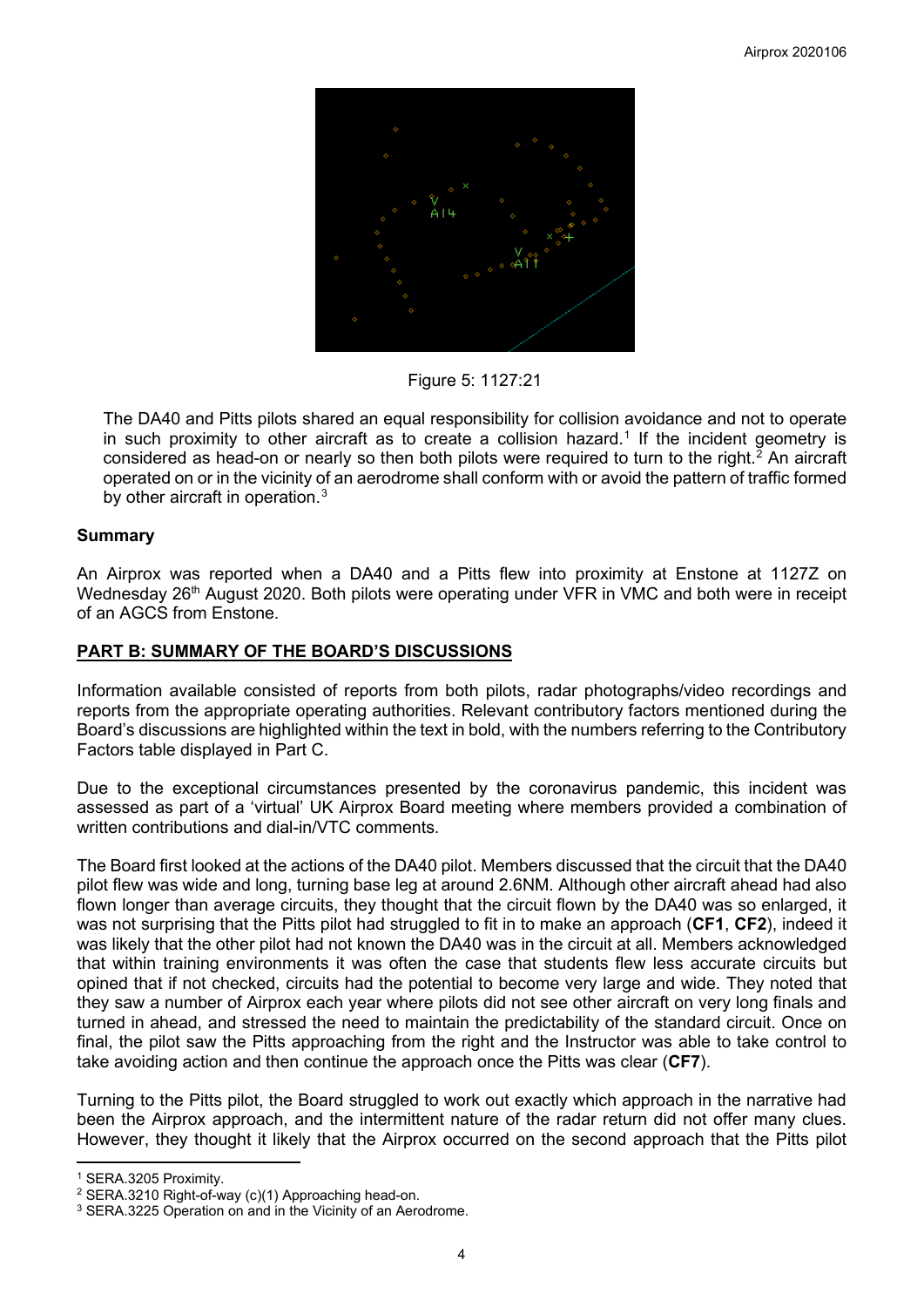

Figure 5: 1127:21

The DA40 and Pitts pilots shared an equal responsibility for collision avoidance and not to operate in such proximity to other aircraft as to create a collision hazard. [1](#page-3-0) If the incident geometry is considered as head-on or nearly so then both pilots were required to turn to the right.<sup>[2](#page-3-1)</sup> An aircraft operated on or in the vicinity of an aerodrome shall conform with or avoid the pattern of traffic formed by other aircraft in operation.<sup>[3](#page-3-2)</sup>

### **Summary**

An Airprox was reported when a DA40 and a Pitts flew into proximity at Enstone at 1127Z on Wednesday 26<sup>th</sup> August 2020. Both pilots were operating under VFR in VMC and both were in receipt of an AGCS from Enstone.

### **PART B: SUMMARY OF THE BOARD'S DISCUSSIONS**

Information available consisted of reports from both pilots, radar photographs/video recordings and reports from the appropriate operating authorities. Relevant contributory factors mentioned during the Board's discussions are highlighted within the text in bold, with the numbers referring to the Contributory Factors table displayed in Part C.

Due to the exceptional circumstances presented by the coronavirus pandemic, this incident was assessed as part of a 'virtual' UK Airprox Board meeting where members provided a combination of written contributions and dial-in/VTC comments.

The Board first looked at the actions of the DA40 pilot. Members discussed that the circuit that the DA40 pilot flew was wide and long, turning base leg at around 2.6NM. Although other aircraft ahead had also flown longer than average circuits, they thought that the circuit flown by the DA40 was so enlarged, it was not surprising that the Pitts pilot had struggled to fit in to make an approach (**CF1**, **CF2**), indeed it was likely that the other pilot had not known the DA40 was in the circuit at all. Members acknowledged that within training environments it was often the case that students flew less accurate circuits but opined that if not checked, circuits had the potential to become very large and wide. They noted that they saw a number of Airprox each year where pilots did not see other aircraft on very long finals and turned in ahead, and stressed the need to maintain the predictability of the standard circuit. Once on final, the pilot saw the Pitts approaching from the right and the Instructor was able to take control to take avoiding action and then continue the approach once the Pitts was clear (**CF7**).

Turning to the Pitts pilot, the Board struggled to work out exactly which approach in the narrative had been the Airprox approach, and the intermittent nature of the radar return did not offer many clues. However, they thought it likely that the Airprox occurred on the second approach that the Pitts pilot

<span id="page-3-0"></span><sup>&</sup>lt;sup>1</sup> SERA.3205 Proximity.<br><sup>2</sup> SERA.3210 Right-of-way (c)(1) Approaching head-on.

<span id="page-3-2"></span><span id="page-3-1"></span><sup>&</sup>lt;sup>3</sup> SERA.3225 Operation on and in the Vicinity of an Aerodrome.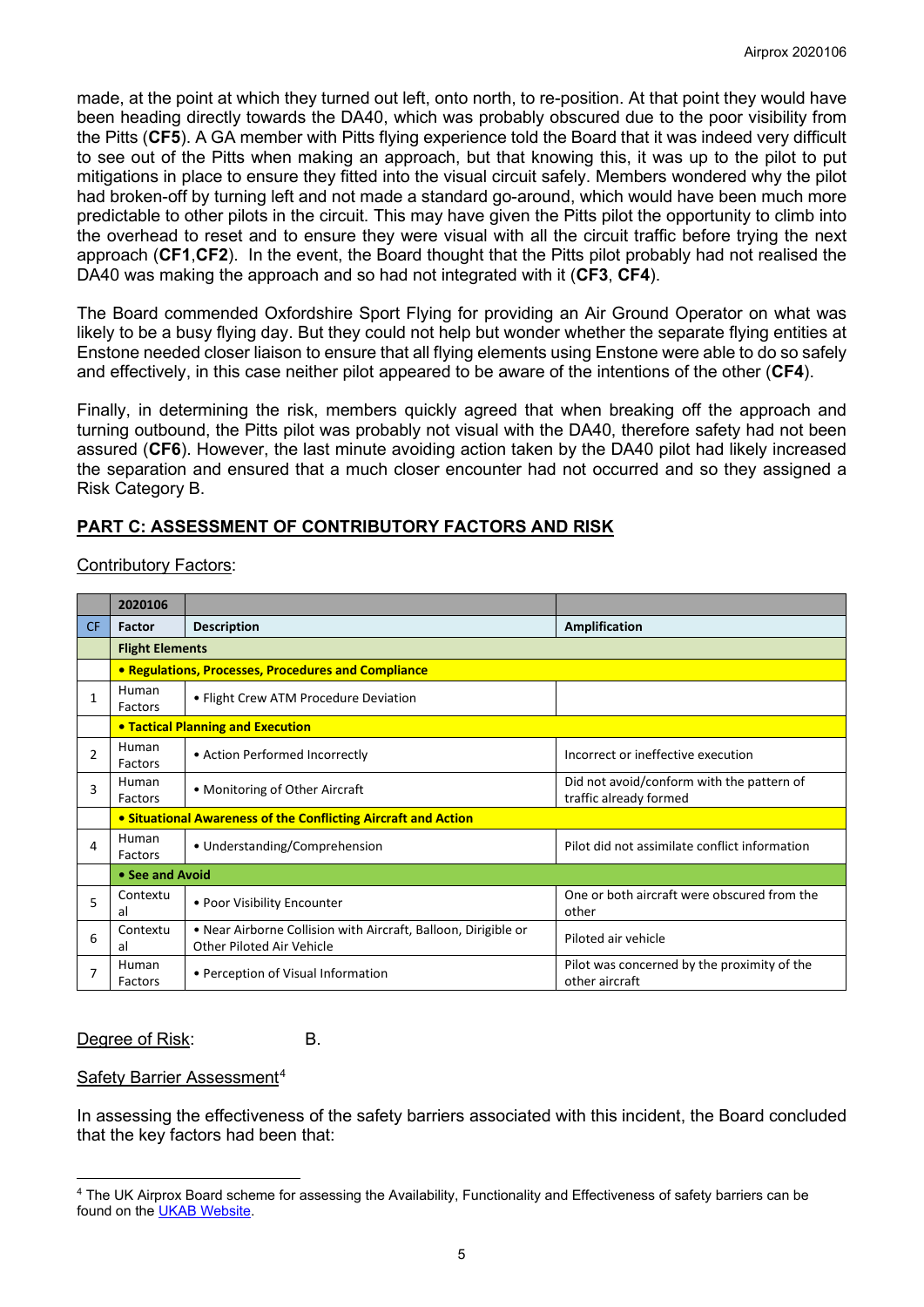made, at the point at which they turned out left, onto north, to re-position. At that point they would have been heading directly towards the DA40, which was probably obscured due to the poor visibility from the Pitts (**CF5**). A GA member with Pitts flying experience told the Board that it was indeed very difficult to see out of the Pitts when making an approach, but that knowing this, it was up to the pilot to put mitigations in place to ensure they fitted into the visual circuit safely. Members wondered why the pilot had broken-off by turning left and not made a standard go-around, which would have been much more predictable to other pilots in the circuit. This may have given the Pitts pilot the opportunity to climb into the overhead to reset and to ensure they were visual with all the circuit traffic before trying the next approach (**CF1**,**CF2**). In the event, the Board thought that the Pitts pilot probably had not realised the DA40 was making the approach and so had not integrated with it (**CF3**, **CF4**).

The Board commended Oxfordshire Sport Flying for providing an Air Ground Operator on what was likely to be a busy flying day. But they could not help but wonder whether the separate flying entities at Enstone needed closer liaison to ensure that all flying elements using Enstone were able to do so safely and effectively, in this case neither pilot appeared to be aware of the intentions of the other (**CF4**).

Finally, in determining the risk, members quickly agreed that when breaking off the approach and turning outbound, the Pitts pilot was probably not visual with the DA40, therefore safety had not been assured (**CF6**). However, the last minute avoiding action taken by the DA40 pilot had likely increased the separation and ensured that a much closer encounter had not occurred and so they assigned a Risk Category B.

# **PART C: ASSESSMENT OF CONTRIBUTORY FACTORS AND RISK**

| <b>Contributory Factors:</b> |
|------------------------------|
|------------------------------|

|                | 2020106                                                        |                                                                                             |                                                                     |
|----------------|----------------------------------------------------------------|---------------------------------------------------------------------------------------------|---------------------------------------------------------------------|
| <b>CF</b>      | Factor                                                         | <b>Description</b>                                                                          | Amplification                                                       |
|                | <b>Flight Elements</b>                                         |                                                                                             |                                                                     |
|                | • Regulations, Processes, Procedures and Compliance            |                                                                                             |                                                                     |
| 1              | Human<br>Factors                                               | • Flight Crew ATM Procedure Deviation                                                       |                                                                     |
|                | <b>• Tactical Planning and Execution</b>                       |                                                                                             |                                                                     |
| $\overline{2}$ | Human<br>Factors                                               | • Action Performed Incorrectly                                                              | Incorrect or ineffective execution                                  |
| 3              | Human<br>Factors                                               | • Monitoring of Other Aircraft                                                              | Did not avoid/conform with the pattern of<br>traffic already formed |
|                | • Situational Awareness of the Conflicting Aircraft and Action |                                                                                             |                                                                     |
| 4              | Human<br>Factors                                               | • Understanding/Comprehension                                                               | Pilot did not assimilate conflict information                       |
|                | • See and Avoid                                                |                                                                                             |                                                                     |
| 5              | Contextu<br>al                                                 | • Poor Visibility Encounter                                                                 | One or both aircraft were obscured from the<br>other                |
| 6              | Contextu<br>al                                                 | • Near Airborne Collision with Aircraft, Balloon, Dirigible or<br>Other Piloted Air Vehicle | Piloted air vehicle                                                 |
|                | Human<br>Factors                                               | • Perception of Visual Information                                                          | Pilot was concerned by the proximity of the<br>other aircraft       |

#### Degree of Risk: B.

#### Safety Barrier Assessment<sup>[4](#page-4-0)</sup>

In assessing the effectiveness of the safety barriers associated with this incident, the Board concluded that the key factors had been that:

<span id="page-4-0"></span><sup>4</sup> The UK Airprox Board scheme for assessing the Availability, Functionality and Effectiveness of safety barriers can be found on the [UKAB Website.](http://www.airproxboard.org.uk/Learn-more/Airprox-Barrier-Assessment/)